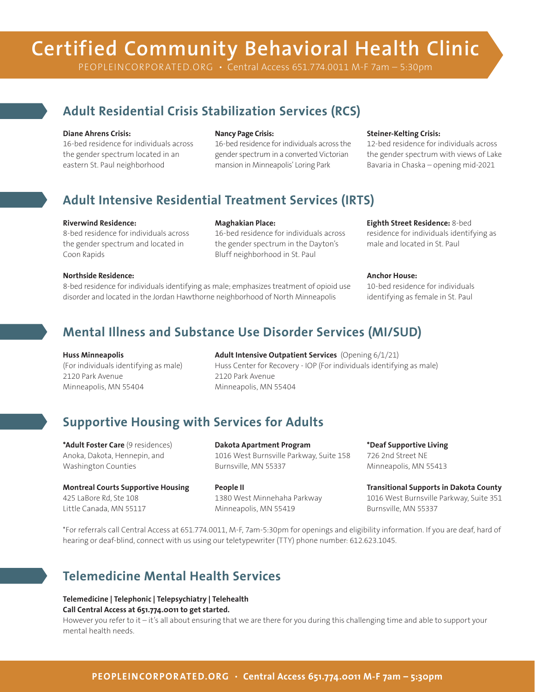# **Certified Community Behavioral Health Clinic**

PEOPLEINCORPORATED.ORG • Central Access 651.774.0011 M-F 7am - 5:30pm

### **Adult Residential Crisis Stabilization Services (RCS)**

#### **Diane Ahrens Crisis:**

16-bed residence for individuals across the gender spectrum located in an eastern St. Paul neighborhood

#### **Nancy Page Crisis:**

16-bed residence for individuals across the gender spectrum in a converted Victorian mansion in Minneapolis' Loring Park

#### **Steiner-Kelting Crisis:**

12-bed residence for individuals across the gender spectrum with views of Lake Bavaria in Chaska – opening mid-2021

### **Adult Intensive Residential Treatment Services (IRTS)**

#### **Riverwind Residence:**

8-bed residence for individuals across the gender spectrum and located in Coon Rapids

#### **Maghakian Place:**

16-bed residence for individuals across the gender spectrum in the Dayton's Bluff neighborhood in St. Paul

#### **Eighth Street Residence:** 8-bed

residence for individuals identifying as male and located in St. Paul

#### **Northside Residence:**

8-bed residence for individuals identifying as male; emphasizes treatment of opioid use disorder and located in the Jordan Hawthorne neighborhood of North Minneapolis

#### **Anchor House:**

10-bed residence for individuals identifying as female in St. Paul

### **Mental Illness and Substance Use Disorder Services (MI/SUD)**

#### **Huss Minneapolis**

(For individuals identifying as male) 2120 Park Avenue Minneapolis, MN 55404

**Adult Intensive Outpatient Services** (Opening 6/1/21) Huss Center for Recovery - IOP (For individuals identifying as male) 2120 Park Avenue Minneapolis, MN 55404

### **Supportive Housing with Services for Adults**

**\*Adult Foster Care** (9 residences) Anoka, Dakota, Hennepin, and Washington Counties

**Montreal Courts Supportive Housing**  425 LaBore Rd, Ste 108 Little Canada, MN 55117

**Dakota Apartment Program**  1016 West Burnsville Parkway, Suite 158 Burnsville, MN 55337

**People II**  1380 West Minnehaha Parkway Minneapolis, MN 55419

**\*Deaf Supportive Living**  726 2nd Street NE Minneapolis, MN 55413

**Transitional Supports in Dakota County**  1016 West Burnsville Parkway, Suite 351 Burnsville, MN 55337

\*For referrals call Central Access at 651.774.0011, M-F, 7am-5:30pm for openings and eligibility information. If you are deaf, hard of hearing or deaf-blind, connect with us using our teletypewriter (TTY) phone number: 612.623.1045.

### **Telemedicine Mental Health Services**

**Telemedicine | Telephonic | Telepsychiatry | Telehealth Call Central Access at 651.774.0011 to get started.**

However you refer to it – it's all about ensuring that we are there for you during this challenging time and able to support your mental health needs.